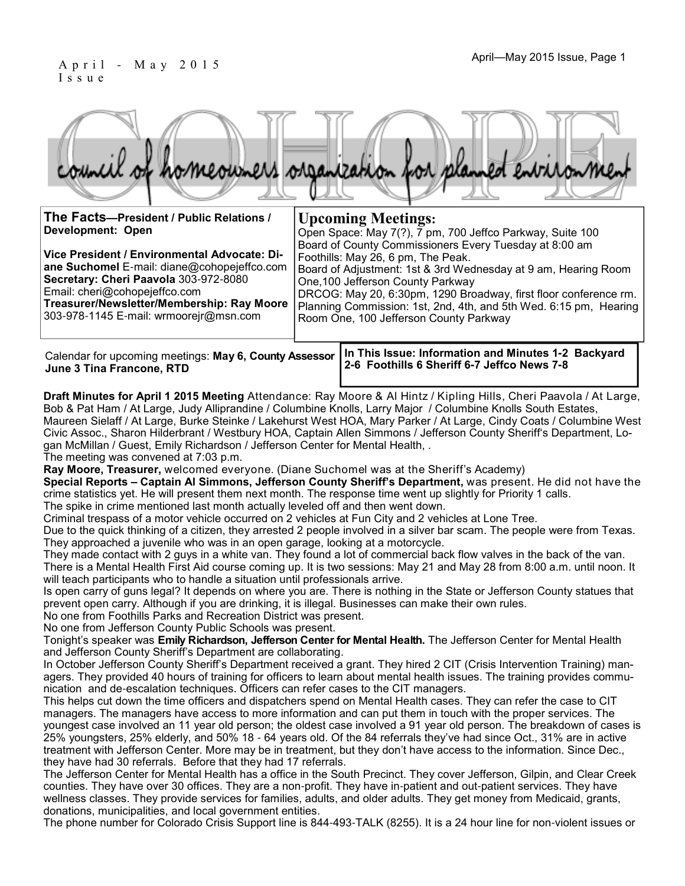#### April—May 2015 Issue, Page 1 April—May 2015 Issue, Page 1 I s s u e

|  |  |  | council of homeowners organization for planned environment |
|--|--|--|------------------------------------------------------------|
|  |  |  |                                                            |

| The Facts-President / Public Relations /                                                                                                                                                                                                                             | <b>Upcoming Meetings:</b>                                                                                                                                                                                                                                                                                                                                                              |  |  |  |  |  |
|----------------------------------------------------------------------------------------------------------------------------------------------------------------------------------------------------------------------------------------------------------------------|----------------------------------------------------------------------------------------------------------------------------------------------------------------------------------------------------------------------------------------------------------------------------------------------------------------------------------------------------------------------------------------|--|--|--|--|--|
| Development: Open                                                                                                                                                                                                                                                    | Open Space: May 7(?), 7 pm, 700 Jeffco Parkway, Suite 100                                                                                                                                                                                                                                                                                                                              |  |  |  |  |  |
| Vice President / Environmental Advocate: Di-<br><b>ane Suchomel</b> E-mail: diane@cohopejeffco.com<br>Secretary: Cheri Paavola 303-972-8080<br>Email: cheri@cohopejeffco.com<br>Treasurer/Newsletter/Membership: Ray Moore<br>303-978-1145 E-mail: wrmoorejr@msn.com | Board of County Commissioners Every Tuesday at 8:00 am<br>Foothills: May 26, 6 pm, The Peak.<br>Board of Adjustment: 1st & 3rd Wednesday at 9 am, Hearing Room<br>One, 100 Jefferson County Parkway<br>DRCOG: May 20, 6:30pm, 1290 Broadway, first floor conference rm.<br>Planning Commission: 1st, 2nd, 4th, and 5th Wed. 6:15 pm, Hearing<br>Room One, 100 Jefferson County Parkway |  |  |  |  |  |
| Calendar for upcoming meetings: May 6, County Assessor<br><b>Lung 2 Ting Ergnoong DTD</b>                                                                                                                                                                            | In This Issue: Information and Minutes 1-2 Backyard<br>2-6 Foothills 6 Sheriff 6-7 Jeffco News 7-8                                                                                                                                                                                                                                                                                     |  |  |  |  |  |

**Draft Minutes for April 1 2015 Meeting** Attendance: Ray Moore & Al Hintz / Kipling Hills, Cheri Paavola / At Large, Bob & Pat Ham / At Large, Judy Alliprandine / Columbine Knolls, Larry Major / Columbine Knolls South Estates, Maureen Sielaff / At Large, Burke Steinke / Lakehurst West HOA, Mary Parker / At Large, Cindy Coats / Columbine West Civic Assoc., Sharon Hilderbrant / Westbury HOA, Captain Allen Simmons / Jefferson County Sheriff's Department, Logan McMillan / Guest, Emily Richardson / Jefferson Center for Mental Health, .

The meeting was convened at 7:03 p.m.

**June 3 Tina Francone, RTD**

**Ray Moore, Treasurer,** welcomed everyone. (Diane Suchomel was at the Sheriff's Academy)

**Special Reports – Captain Al Simmons, Jefferson County Sheriff's Department,** was present. He did not have the crime statistics yet. He will present them next month. The response time went up slightly for Priority 1 calls. The spike in crime mentioned last month actually leveled off and then went down.

Criminal trespass of a motor vehicle occurred on 2 vehicles at Fun City and 2 vehicles at Lone Tree.

Due to the quick thinking of a citizen, they arrested 2 people involved in a silver bar scam. The people were from Texas. They approached a juvenile who was in an open garage, looking at a motorcycle.

They made contact with 2 guys in a white van. They found a lot of commercial back flow valves in the back of the van. There is a Mental Health First Aid course coming up. It is two sessions: May 21 and May 28 from 8:00 a.m. until noon. It will teach participants who to handle a situation until professionals arrive.

Is open carry of guns legal? It depends on where you are. There is nothing in the State or Jefferson County statues that prevent open carry. Although if you are drinking, it is illegal. Businesses can make their own rules.

No one from Foothills Parks and Recreation District was present.

No one from Jefferson County Public Schools was present.

Tonight's speaker was **Emily Richardson, Jefferson Center for Mental Health.** The Jefferson Center for Mental Health and Jefferson County Sheriff's Department are collaborating.

In October Jefferson County Sheriff's Department received a grant. They hired 2 CIT (Crisis Intervention Training) managers. They provided 40 hours of training for officers to learn about mental health issues. The training provides communication and de-escalation techniques. Officers can refer cases to the CIT managers.

This helps cut down the time officers and dispatchers spend on Mental Health cases. They can refer the case to CIT managers. The managers have access to more information and can put them in touch with the proper services. The youngest case involved an 11 year old person; the oldest case involved a 91 year old person. The breakdown of cases is 25% youngsters, 25% elderly, and 50% 18 - 64 years old. Of the 84 referrals they've had since Oct., 31% are in active treatment with Jefferson Center. More may be in treatment, but they don't have access to the information. Since Dec., they have had 30 referrals. Before that they had 17 referrals.

The Jefferson Center for Mental Health has a office in the South Precinct. They cover Jefferson, Gilpin, and Clear Creek counties. They have over 30 offices. They are a non-profit. They have in-patient and out-patient services. They have wellness classes. They provide services for families, adults, and older adults. They get money from Medicaid, grants, donations, municipalities, and local government entities.

The phone number for Colorado Crisis Support line is 844-493-TALK (8255). It is a 24 hour line for non-violent issues or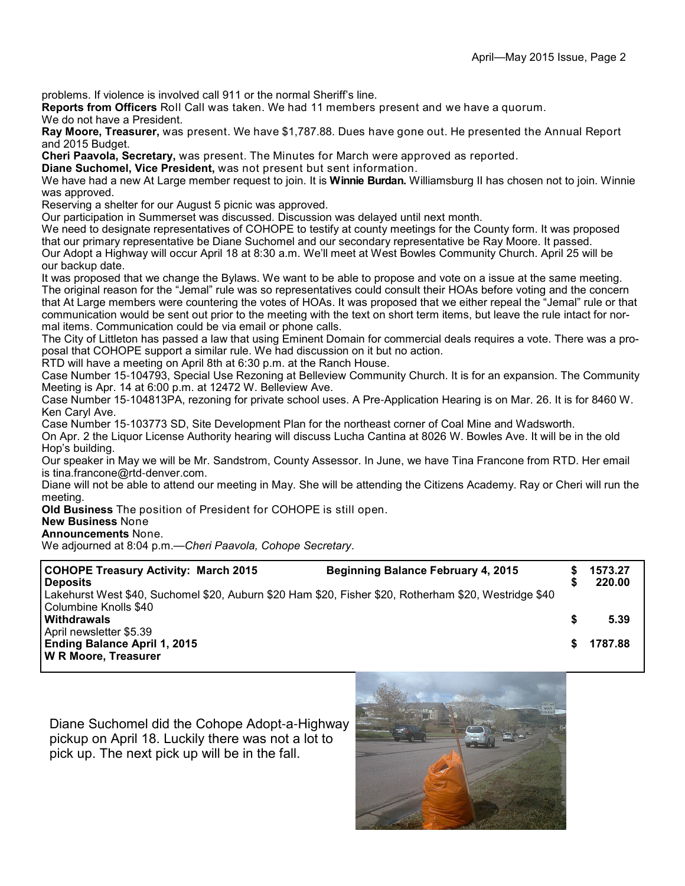problems. If violence is involved call 911 or the normal Sheriff's line.

**Reports from Officers** Roll Call was taken. We had 11 members present and we have a quorum.

We do not have a President.

**Ray Moore, Treasurer,** was present. We have \$1,787.88. Dues have gone out. He presented the Annual Report and 2015 Budget.

**Cheri Paavola, Secretary,** was present. The Minutes for March were approved as reported.

**Diane Suchomel, Vice President,** was not present but sent information.

We have had a new At Large member request to join. It is **Winnie Burdan.** Williamsburg II has chosen not to join. Winnie was approved.

Reserving a shelter for our August 5 picnic was approved.

Our participation in Summerset was discussed. Discussion was delayed until next month.

We need to designate representatives of COHOPE to testify at county meetings for the County form. It was proposed that our primary representative be Diane Suchomel and our secondary representative be Ray Moore. It passed. Our Adopt a Highway will occur April 18 at 8:30 a.m. We'll meet at West Bowles Community Church. April 25 will be

our backup date.

It was proposed that we change the Bylaws. We want to be able to propose and vote on a issue at the same meeting. The original reason for the "Jemal" rule was so representatives could consult their HOAs before voting and the concern that At Large members were countering the votes of HOAs. It was proposed that we either repeal the "Jemal" rule or that communication would be sent out prior to the meeting with the text on short term items, but leave the rule intact for normal items. Communication could be via email or phone calls.

The City of Littleton has passed a law that using Eminent Domain for commercial deals requires a vote. There was a proposal that COHOPE support a similar rule. We had discussion on it but no action.

RTD will have a meeting on April 8th at 6:30 p.m. at the Ranch House.

Case Number 15-104793, Special Use Rezoning at Belleview Community Church. It is for an expansion. The Community Meeting is Apr. 14 at 6:00 p.m. at 12472 W. Belleview Ave.

Case Number 15-104813PA, rezoning for private school uses. A Pre-Application Hearing is on Mar. 26. It is for 8460 W. Ken Caryl Ave.

Case Number 15-103773 SD, Site Development Plan for the northeast corner of Coal Mine and Wadsworth.

On Apr. 2 the Liquor License Authority hearing will discuss Lucha Cantina at 8026 W. Bowles Ave. It will be in the old Hop's building.

Our speaker in May we will be Mr. Sandstrom, County Assessor. In June, we have Tina Francone from RTD. Her email is tina.francone@rtd-denver.com.

Diane will not be able to attend our meeting in May. She will be attending the Citizens Academy. Ray or Cheri will run the meeting.

**Old Business** The position of President for COHOPE is still open.

**New Business** None

**Announcements** None.

We adjourned at 8:04 p.m.—*Cheri Paavola, Cohope Secretary*.

| <b>COHOPE Treasury Activity: March 2015</b><br><b>Deposits</b>                                        | <b>Beginning Balance February 4, 2015</b> |   | 1573.27<br>220.00 |  |
|-------------------------------------------------------------------------------------------------------|-------------------------------------------|---|-------------------|--|
| Lakehurst West \$40, Suchomel \$20, Auburn \$20 Ham \$20, Fisher \$20, Rotherham \$20, Westridge \$40 |                                           |   |                   |  |
| Columbine Knolls \$40                                                                                 |                                           |   |                   |  |
| <b>Withdrawals</b>                                                                                    |                                           | S | 5.39              |  |
| April newsletter \$5.39                                                                               |                                           |   |                   |  |
| <b>Ending Balance April 1, 2015</b>                                                                   |                                           |   | 1787.88           |  |
| <b>W R Moore, Treasurer</b>                                                                           |                                           |   |                   |  |

Diane Suchomel did the Cohope Adopt-a-Highway pickup on April 18. Luckily there was not a lot to pick up. The next pick up will be in the fall.

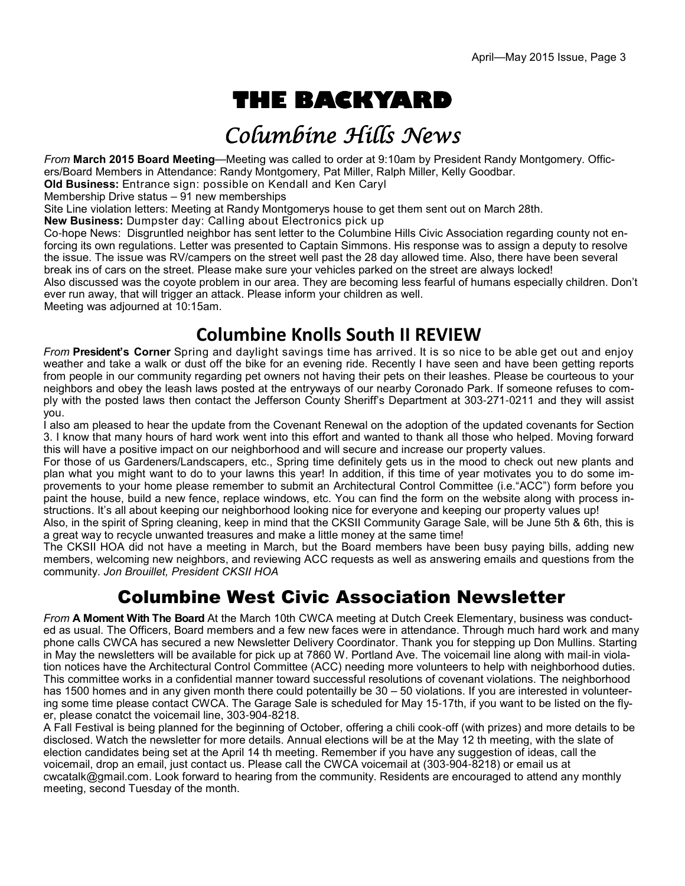# **THE BACKYARD**

## Columbine Hills News

*From* **March 2015 Board Meeting**—Meeting was called to order at 9:10am by President Randy Montgomery. Officers/Board Members in Attendance: Randy Montgomery, Pat Miller, Ralph Miller, Kelly Goodbar.

**Old Business:** Entrance sign: possible on Kendall and Ken Caryl

Membership Drive status  $-91$  new memberships

Site Line violation letters: Meeting at Randy Montgomerys house to get them sent out on March 28th.

**New Business:** Dumpster day: Calling about Electronics pick up

Co-hope News: Disgruntled neighbor has sent letter to the Columbine Hills Civic Association regarding county not enforcing its own regulations. Letter was presented to Captain Simmons. His response was to assign a deputy to resolve the issue. The issue was RV/campers on the street well past the 28 day allowed time. Also, there have been several break ins of cars on the street. Please make sure your vehicles parked on the street are always locked!

Also discussed was the coyote problem in our area. They are becoming less fearful of humans especially children. Don't ever run away, that will trigger an attack. Please inform your children as well.

Meeting was adjourned at 10:15am.

### **Columbine Knolls South II REVIEW**

*From* **President's Corner** Spring and daylight savings time has arrived. It is so nice to be able get out and enjoy weather and take a walk or dust off the bike for an evening ride. Recently I have seen and have been getting reports from people in our community regarding pet owners not having their pets on their leashes. Please be courteous to your neighbors and obey the leash laws posted at the entryways of our nearby Coronado Park. If someone refuses to comply with the posted laws then contact the Jefferson County Sheriff's Department at 303-271-0211 and they will assist you.

I also am pleased to hear the update from the Covenant Renewal on the adoption of the updated covenants for Section 3. I know that many hours of hard work went into this effort and wanted to thank all those who helped. Moving forward this will have a positive impact on our neighborhood and will secure and increase our property values.

For those of us Gardeners/Landscapers, etc., Spring time definitely gets us in the mood to check out new plants and plan what you might want to do to your lawns this year! In addition, if this time of year motivates you to do some improvements to your home please remember to submit an Architectural Control Committee (i.e."ACC") form before you paint the house, build a new fence, replace windows, etc. You can find the form on the website along with process instructions. It's all about keeping our neighborhood looking nice for everyone and keeping our property values up!

Also, in the spirit of Spring cleaning, keep in mind that the CKSII Community Garage Sale, will be June 5th & 6th, this is a great way to recycle unwanted treasures and make a little money at the same time!

The CKSII HOA did not have a meeting in March, but the Board members have been busy paying bills, adding new members, welcoming new neighbors, and reviewing ACC requests as well as answering emails and questions from the community. *Jon Brouillet, President CKSII HOA*

### Columbine West Civic Association Newsletter

*From* **A Moment With The Board** At the March 10th CWCA meeting at Dutch Creek Elementary, business was conducted as usual. The Officers, Board members and a few new faces were in attendance. Through much hard work and many phone calls CWCA has secured a new Newsletter Delivery Coordinator. Thank you for stepping up Don Mullins. Starting in May the newsletters will be available for pick up at 7860 W. Portland Ave. The voicemail line along with mail-in violation notices have the Architectural Control Committee (ACC) needing more volunteers to help with neighborhood duties. This committee works in a confidential manner toward successful resolutions of covenant violations. The neighborhood has 1500 homes and in any given month there could potentailly be 30 – 50 violations. If you are interested in volunteering some time please contact CWCA. The Garage Sale is scheduled for May 15-17th, if you want to be listed on the flyer, please conatct the voicemail line, 303-904-8218.

A Fall Festival is being planned for the beginning of October, offering a chili cook-off (with prizes) and more details to be disclosed. Watch the newsletter for more details. Annual elections will be at the May 12 th meeting, with the slate of election candidates being set at the April 14 th meeting. Remember if you have any suggestion of ideas, call the voicemail, drop an email, just contact us. Please call the CWCA voicemail at (303-904-8218) or email us at cwcatalk@gmail.com. Look forward to hearing from the community. Residents are encouraged to attend any monthly meeting, second Tuesday of the month.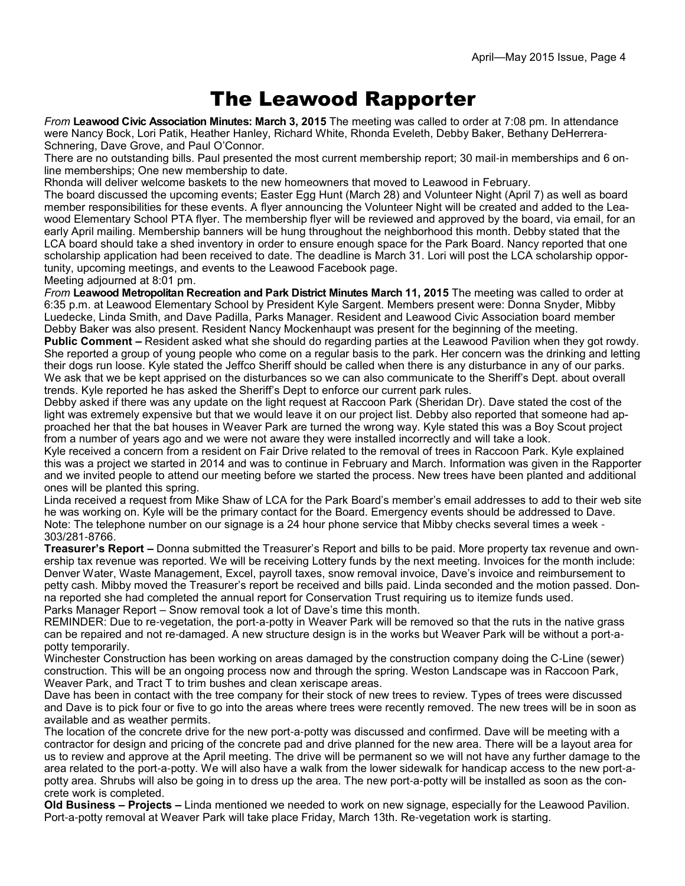### The Leawood Rapporter

*From* **Leawood Civic Association Minutes: March 3, 2015** The meeting was called to order at 7:08 pm. In attendance were Nancy Bock, Lori Patik, Heather Hanley, Richard White, Rhonda Eveleth, Debby Baker, Bethany DeHerrera-Schnering, Dave Grove, and Paul O'Connor.

There are no outstanding bills. Paul presented the most current membership report; 30 mail-in memberships and 6 online memberships; One new membership to date.

Rhonda will deliver welcome baskets to the new homeowners that moved to Leawood in February.

The board discussed the upcoming events; Easter Egg Hunt (March 28) and Volunteer Night (April 7) as well as board member responsibilities for these events. A flyer announcing the Volunteer Night will be created and added to the Leawood Elementary School PTA flyer. The membership flyer will be reviewed and approved by the board, via email, for an early April mailing. Membership banners will be hung throughout the neighborhood this month. Debby stated that the LCA board should take a shed inventory in order to ensure enough space for the Park Board. Nancy reported that one scholarship application had been received to date. The deadline is March 31. Lori will post the LCA scholarship opportunity, upcoming meetings, and events to the Leawood Facebook page.

Meeting adjourned at 8:01 pm.

*From* **Leawood Metropolitan Recreation and Park District Minutes March 11, 2015** The meeting was called to order at 6:35 p.m. at Leawood Elementary School by President Kyle Sargent. Members present were: Donna Snyder, Mibby Luedecke, Linda Smith, and Dave Padilla, Parks Manager. Resident and Leawood Civic Association board member Debby Baker was also present. Resident Nancy Mockenhaupt was present for the beginning of the meeting.

**Public Comment –** Resident asked what she should do regarding parties at the Leawood Pavilion when they got rowdy. She reported a group of young people who come on a regular basis to the park. Her concern was the drinking and letting their dogs run loose. Kyle stated the Jeffco Sheriff should be called when there is any disturbance in any of our parks. We ask that we be kept apprised on the disturbances so we can also communicate to the Sheriff's Dept. about overall trends. Kyle reported he has asked the Sheriff's Dept to enforce our current park rules.

Debby asked if there was any update on the light request at Raccoon Park (Sheridan Dr). Dave stated the cost of the light was extremely expensive but that we would leave it on our project list. Debby also reported that someone had approached her that the bat houses in Weaver Park are turned the wrong way. Kyle stated this was a Boy Scout project from a number of years ago and we were not aware they were installed incorrectly and will take a look.

Kyle received a concern from a resident on Fair Drive related to the removal of trees in Raccoon Park. Kyle explained this was a project we started in 2014 and was to continue in February and March. Information was given in the Rapporter and we invited people to attend our meeting before we started the process. New trees have been planted and additional ones will be planted this spring.

Linda received a request from Mike Shaw of LCA for the Park Board's member's email addresses to add to their web site he was working on. Kyle will be the primary contact for the Board. Emergency events should be addressed to Dave. Note: The telephone number on our signage is a 24 hour phone service that Mibby checks several times a week - 303/281-8766.

**Treasurer's Report –** Donna submitted the Treasurer's Report and bills to be paid. More property tax revenue and ownership tax revenue was reported. We will be receiving Lottery funds by the next meeting. Invoices for the month include: Denver Water, Waste Management, Excel, payroll taxes, snow removal invoice, Dave's invoice and reimbursement to petty cash. Mibby moved the Treasurer's report be received and bills paid. Linda seconded and the motion passed. Donna reported she had completed the annual report for Conservation Trust requiring us to itemize funds used. Parks Manager Report – Snow removal took a lot of Dave's time this month.

REMINDER: Due to re-vegetation, the port-a-potty in Weaver Park will be removed so that the ruts in the native grass can be repaired and not re-damaged. A new structure design is in the works but Weaver Park will be without a port-apotty temporarily.

Winchester Construction has been working on areas damaged by the construction company doing the C-Line (sewer) construction. This will be an ongoing process now and through the spring. Weston Landscape was in Raccoon Park, Weaver Park, and Tract T to trim bushes and clean xeriscape areas.

Dave has been in contact with the tree company for their stock of new trees to review. Types of trees were discussed and Dave is to pick four or five to go into the areas where trees were recently removed. The new trees will be in soon as available and as weather permits.

The location of the concrete drive for the new port-a-potty was discussed and confirmed. Dave will be meeting with a contractor for design and pricing of the concrete pad and drive planned for the new area. There will be a layout area for us to review and approve at the April meeting. The drive will be permanent so we will not have any further damage to the area related to the port-a-potty. We will also have a walk from the lower sidewalk for handicap access to the new port-apotty area. Shrubs will also be going in to dress up the area. The new port-a-potty will be installed as soon as the concrete work is completed.

**Old Business – Projects –** Linda mentioned we needed to work on new signage, especially for the Leawood Pavilion. Port-a-potty removal at Weaver Park will take place Friday, March 13th. Re-vegetation work is starting.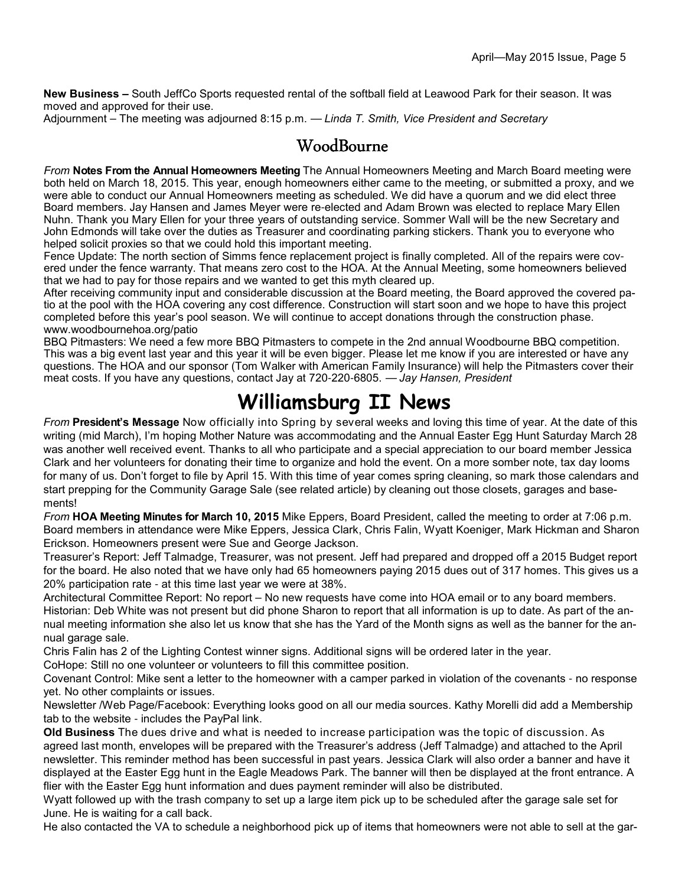**New Business –** South JeffCo Sports requested rental of the softball field at Leawood Park for their season. It was moved and approved for their use.

Adjournment – The meeting was adjourned 8:15 p.m. — *Linda T. Smith, Vice President and Secretary*

#### WoodBourne

*From* **Notes From the Annual Homeowners Meeting** The Annual Homeowners Meeting and March Board meeting were both held on March 18, 2015. This year, enough homeowners either came to the meeting, or submitted a proxy, and we were able to conduct our Annual Homeowners meeting as scheduled. We did have a quorum and we did elect three Board members. Jay Hansen and James Meyer were re-elected and Adam Brown was elected to replace Mary Ellen Nuhn. Thank you Mary Ellen for your three years of outstanding service. Sommer Wall will be the new Secretary and John Edmonds will take over the duties as Treasurer and coordinating parking stickers. Thank you to everyone who helped solicit proxies so that we could hold this important meeting.

Fence Update: The north section of Simms fence replacement project is finally completed. All of the repairs were covered under the fence warranty. That means zero cost to the HOA. At the Annual Meeting, some homeowners believed that we had to pay for those repairs and we wanted to get this myth cleared up.

After receiving community input and considerable discussion at the Board meeting, the Board approved the covered patio at the pool with the HOA covering any cost difference. Construction will start soon and we hope to have this project completed before this year's pool season. We will continue to accept donations through the construction phase. www.woodbournehoa.org/patio

BBQ Pitmasters: We need a few more BBQ Pitmasters to compete in the 2nd annual Woodbourne BBQ competition. This was a big event last year and this year it will be even bigger. Please let me know if you are interested or have any questions. The HOA and our sponsor (Tom Walker with American Family Insurance) will help the Pitmasters cover their meat costs. If you have any questions, contact Jay at 720-220-6805. — *Jay Hansen, President*

## **Williamsburg II News**

*From* **President's Message** Now officially into Spring by several weeks and loving this time of year. At the date of this writing (mid March), I'm hoping Mother Nature was accommodating and the Annual Easter Egg Hunt Saturday March 28 was another well received event. Thanks to all who participate and a special appreciation to our board member Jessica Clark and her volunteers for donating their time to organize and hold the event. On a more somber note, tax day looms for many of us. Don't forget to file by April 15. With this time of year comes spring cleaning, so mark those calendars and start prepping for the Community Garage Sale (see related article) by cleaning out those closets, garages and basements!

*From* **HOA Meeting Minutes for March 10, 2015** Mike Eppers, Board President, called the meeting to order at 7:06 p.m. Board members in attendance were Mike Eppers, Jessica Clark, Chris Falin, Wyatt Koeniger, Mark Hickman and Sharon Erickson. Homeowners present were Sue and George Jackson.

Treasurer's Report: Jeff Talmadge, Treasurer, was not present. Jeff had prepared and dropped off a 2015 Budget report for the board. He also noted that we have only had 65 homeowners paying 2015 dues out of 317 homes. This gives us a 20% participation rate - at this time last year we were at 38%.

Architectural Committee Report: No report – No new requests have come into HOA email or to any board members. Historian: Deb White was not present but did phone Sharon to report that all information is up to date. As part of the annual meeting information she also let us know that she has the Yard of the Month signs as well as the banner for the annual garage sale.

Chris Falin has 2 of the Lighting Contest winner signs. Additional signs will be ordered later in the year.

CoHope: Still no one volunteer or volunteers to fill this committee position.

Covenant Control: Mike sent a letter to the homeowner with a camper parked in violation of the covenants - no response yet. No other complaints or issues.

Newsletter /Web Page/Facebook: Everything looks good on all our media sources. Kathy Morelli did add a Membership tab to the website - includes the PayPal link.

**Old Business** The dues drive and what is needed to increase participation was the topic of discussion. As agreed last month, envelopes will be prepared with the Treasurer's address (Jeff Talmadge) and attached to the April newsletter. This reminder method has been successful in past years. Jessica Clark will also order a banner and have it displayed at the Easter Egg hunt in the Eagle Meadows Park. The banner will then be displayed at the front entrance. A flier with the Easter Egg hunt information and dues payment reminder will also be distributed.

Wyatt followed up with the trash company to set up a large item pick up to be scheduled after the garage sale set for June. He is waiting for a call back.

He also contacted the VA to schedule a neighborhood pick up of items that homeowners were not able to sell at the gar-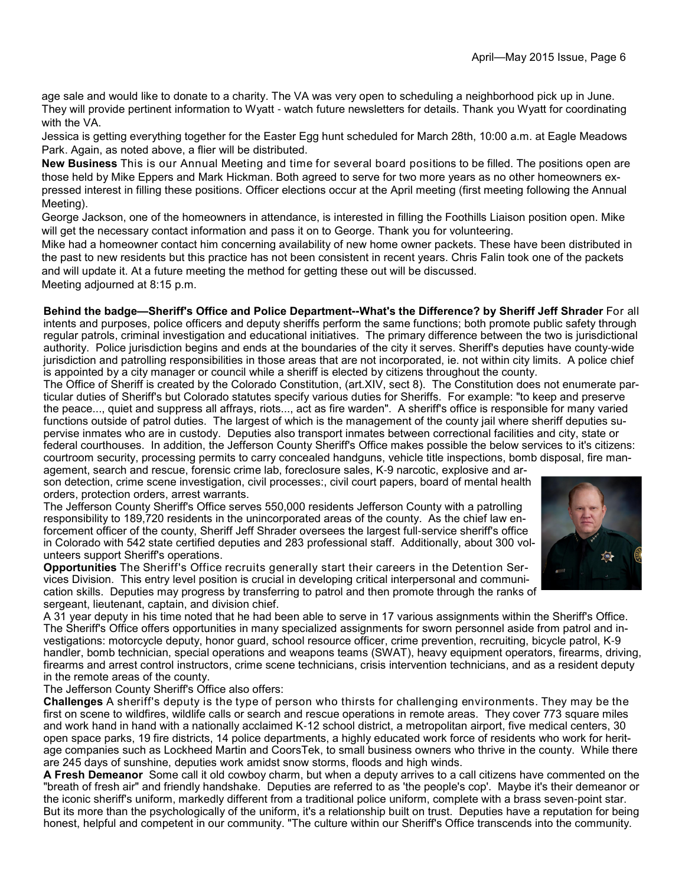age sale and would like to donate to a charity. The VA was very open to scheduling a neighborhood pick up in June. They will provide pertinent information to Wyatt - watch future newsletters for details. Thank you Wyatt for coordinating with the VA.

Jessica is getting everything together for the Easter Egg hunt scheduled for March 28th, 10:00 a.m. at Eagle Meadows Park. Again, as noted above, a flier will be distributed.

**New Business** This is our Annual Meeting and time for several board positions to be filled. The positions open are those held by Mike Eppers and Mark Hickman. Both agreed to serve for two more years as no other homeowners expressed interest in filling these positions. Officer elections occur at the April meeting (first meeting following the Annual Meeting).

George Jackson, one of the homeowners in attendance, is interested in filling the Foothills Liaison position open. Mike will get the necessary contact information and pass it on to George. Thank you for volunteering.

Mike had a homeowner contact him concerning availability of new home owner packets. These have been distributed in the past to new residents but this practice has not been consistent in recent years. Chris Falin took one of the packets and will update it. At a future meeting the method for getting these out will be discussed. Meeting adjourned at 8:15 p.m.

**Behind the badge—Sheriff's Office and Police Department--What's the Difference? by Sheriff Jeff Shrader** For all intents and purposes, police officers and deputy sheriffs perform the same functions; both promote public safety through regular patrols, criminal investigation and educational initiatives. The primary difference between the two is jurisdictional authority. Police jurisdiction begins and ends at the boundaries of the city it serves. Sheriff's deputies have county-wide jurisdiction and patrolling responsibilities in those areas that are not incorporated, ie. not within city limits. A police chief is appointed by a city manager or council while a sheriff is elected by citizens throughout the county.

The Office of Sheriff is created by the Colorado Constitution, (art.XIV, sect 8). The Constitution does not enumerate particular duties of Sheriff's but Colorado statutes specify various duties for Sheriffs. For example: "to keep and preserve the peace..., quiet and suppress all affrays, riots..., act as fire warden". A sheriff's office is responsible for many varied functions outside of patrol duties. The largest of which is the management of the county jail where sheriff deputies supervise inmates who are in custody. Deputies also transport inmates between correctional facilities and city, state or federal courthouses. In addition, the Jefferson County Sheriff's Office makes possible the below services to it's citizens: courtroom security, processing permits to carry concealed handguns, vehicle title inspections, bomb disposal, fire man-

agement, search and rescue, forensic crime lab, foreclosure sales, K-9 narcotic, explosive and arson detection, crime scene investigation, civil processes:, civil court papers, board of mental health orders, protection orders, arrest warrants.

The Jefferson County Sheriff's Office serves 550,000 residents Jefferson County with a patrolling responsibility to 189,720 residents in the unincorporated areas of the county. As the chief law enforcement officer of the county, Sheriff Jeff Shrader oversees the largest full-service sheriff's office in Colorado with 542 state certified deputies and 283 professional staff. Additionally, about 300 volunteers support Sheriff's operations.



**Opportunities** The Sheriff's Office recruits generally start their careers in the Detention Services Division. This entry level position is crucial in developing critical interpersonal and communication skills. Deputies may progress by transferring to patrol and then promote through the ranks of sergeant, lieutenant, captain, and division chief.

A 31 year deputy in his time noted that he had been able to serve in 17 various assignments within the Sheriff's Office. The Sheriff's Office offers opportunities in many specialized assignments for sworn personnel aside from patrol and investigations: motorcycle deputy, honor guard, school resource officer, crime prevention, recruiting, bicycle patrol, K-9 handler, bomb technician, special operations and weapons teams (SWAT), heavy equipment operators, firearms, driving, firearms and arrest control instructors, crime scene technicians, crisis intervention technicians, and as a resident deputy in the remote areas of the county.

The Jefferson County Sheriff's Office also offers:

**Challenges** A sheriff's deputy is the type of person who thirsts for challenging environments. They may be the first on scene to wildfires, wildlife calls or search and rescue operations in remote areas. They cover 773 square miles and work hand in hand with a nationally acclaimed K-12 school district, a metropolitan airport, five medical centers, 30 open space parks, 19 fire districts, 14 police departments, a highly educated work force of residents who work for heritage companies such as Lockheed Martin and CoorsTek, to small business owners who thrive in the county. While there are 245 days of sunshine, deputies work amidst snow storms, floods and high winds.

**A Fresh Demeanor** Some call it old cowboy charm, but when a deputy arrives to a call citizens have commented on the "breath of fresh air" and friendly handshake. Deputies are referred to as 'the people's cop'. Maybe it's their demeanor or the iconic sheriff's uniform, markedly different from a traditional police uniform, complete with a brass seven-point star. But its more than the psychologically of the uniform, it's a relationship built on trust. Deputies have a reputation for being honest, helpful and competent in our community. "The culture within our Sheriff's Office transcends into the community.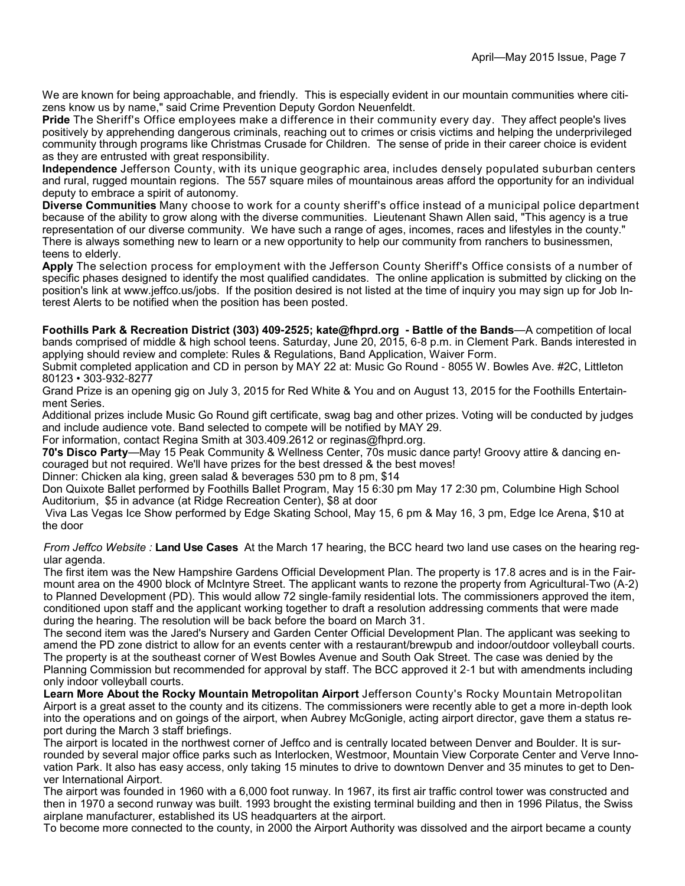We are known for being approachable, and friendly. This is especially evident in our mountain communities where citizens know us by name," said Crime Prevention Deputy Gordon Neuenfeldt.

**Pride** The Sheriff's Office employees make a difference in their community every day. They affect people's lives positively by apprehending dangerous criminals, reaching out to crimes or crisis victims and helping the underprivileged community through programs like Christmas Crusade for Children. The sense of pride in their career choice is evident as they are entrusted with great responsibility.

**Independence** Jefferson County, with its unique geographic area, includes densely populated suburban centers and rural, rugged mountain regions. The 557 square miles of mountainous areas afford the opportunity for an individual deputy to embrace a spirit of autonomy.

**Diverse Communities** Many choose to work for a county sheriff's office instead of a municipal police department because of the ability to grow along with the diverse communities. Lieutenant Shawn Allen said, "This agency is a true representation of our diverse community. We have such a range of ages, incomes, races and lifestyles in the county." There is always something new to learn or a new opportunity to help our community from ranchers to businessmen, teens to elderly.

**Apply** The selection process for employment with the Jefferson County Sheriff's Office consists of a number of specific phases designed to identify the most qualified candidates. The online application is submitted by clicking on the position's link at www.jeffco.us/jobs. If the position desired is not listed at the time of inquiry you may sign up for Job Interest Alerts to be notified when the position has been posted.

**Foothills Park & Recreation District (303) 409-2525; kate@fhprd.org - Battle of the Bands**—A competition of local bands comprised of middle & high school teens. Saturday, June 20, 2015, 6-8 p.m. in Clement Park. Bands interested in applying should review and complete: Rules & Regulations, Band Application, Waiver Form.

Submit completed application and CD in person by MAY 22 at: Music Go Round - 8055 W. Bowles Ave. #2C, Littleton 80123 • 303-932-8277

Grand Prize is an opening gig on July 3, 2015 for Red White & You and on August 13, 2015 for the Foothills Entertainment Series.

Additional prizes include Music Go Round gift certificate, swag bag and other prizes. Voting will be conducted by judges and include audience vote. Band selected to compete will be notified by MAY 29.

For information, contact Regina Smith at 303.409.2612 or reginas@fhprd.org.

**70's Disco Party**—May 15 Peak Community & Wellness Center, 70s music dance party! Groovy attire & dancing encouraged but not required. We'll have prizes for the best dressed & the best moves!

Dinner: Chicken ala king, green salad & beverages 530 pm to 8 pm, \$14

Don Quixote Ballet performed by Foothills Ballet Program, May 15 6:30 pm May 17 2:30 pm, Columbine High School Auditorium, \$5 in advance (at Ridge Recreation Center), \$8 at door

 Viva Las Vegas Ice Show performed by Edge Skating School, May 15, 6 pm & May 16, 3 pm, Edge Ice Arena, \$10 at the door

*From Jeffco Website :* **Land Use Cases** At the March 17 hearing, the BCC heard two land use cases on the hearing regular agenda.

The first item was the New Hampshire Gardens Official Development Plan. The property is 17.8 acres and is in the Fairmount area on the 4900 block of McIntyre Street. The applicant wants to rezone the property from Agricultural-Two (A-2) to Planned Development (PD). This would allow 72 single-family residential lots. The commissioners approved the item, conditioned upon staff and the applicant working together to draft a resolution addressing comments that were made during the hearing. The resolution will be back before the board on March 31.

The second item was the Jared's Nursery and Garden Center Official Development Plan. The applicant was seeking to amend the PD zone district to allow for an events center with a restaurant/brewpub and indoor/outdoor volleyball courts. The property is at the southeast corner of West Bowles Avenue and South Oak Street. The case was denied by the Planning Commission but recommended for approval by staff. The BCC approved it 2-1 but with amendments including only indoor volleyball courts.

**Learn More About the Rocky Mountain Metropolitan Airport** Jefferson County's Rocky Mountain Metropolitan Airport is a great asset to the county and its citizens. The commissioners were recently able to get a more in-depth look into the operations and on goings of the airport, when Aubrey McGonigle, acting airport director, gave them a status report during the March 3 staff briefings.

The airport is located in the northwest corner of Jeffco and is centrally located between Denver and Boulder. It is surrounded by several major office parks such as Interlocken, Westmoor, Mountain View Corporate Center and Verve Innovation Park. It also has easy access, only taking 15 minutes to drive to downtown Denver and 35 minutes to get to Denver International Airport.

The airport was founded in 1960 with a 6,000 foot runway. In 1967, its first air traffic control tower was constructed and then in 1970 a second runway was built. 1993 brought the existing terminal building and then in 1996 Pilatus, the Swiss airplane manufacturer, established its US headquarters at the airport.

To become more connected to the county, in 2000 the Airport Authority was dissolved and the airport became a county